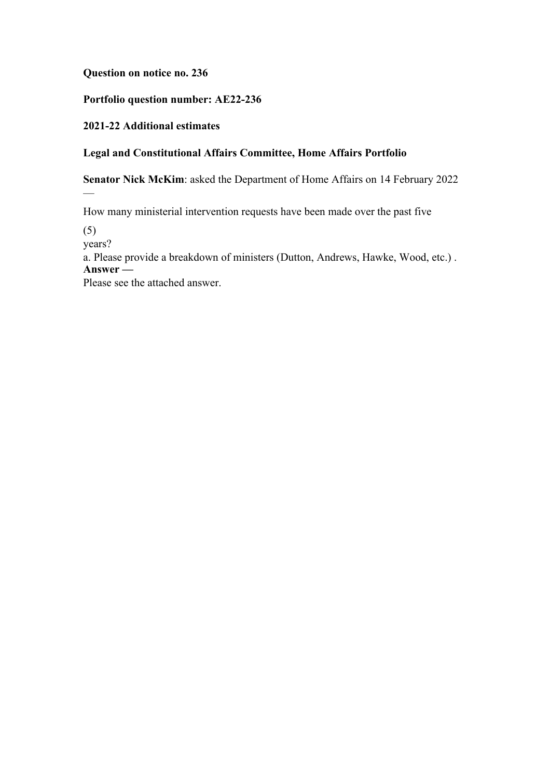**Question on notice no. 236**

**Portfolio question number: AE22-236**

**2021-22 Additional estimates**

# **Legal and Constitutional Affairs Committee, Home Affairs Portfolio**

**Senator Nick McKim**: asked the Department of Home Affairs on 14 February 2022

How many ministerial intervention requests have been made over the past five

(5)

—

years?

a. Please provide a breakdown of ministers (Dutton, Andrews, Hawke, Wood, etc.) . **Answer —**

Please see the attached answer.